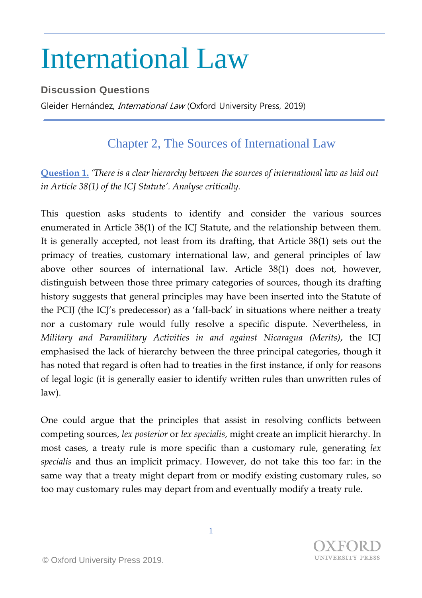## International Law

## **Discussion Questions**

Gleider Hernández, *International Law* (Oxford University Press, 2019)

## Chapter 2, The Sources of International Law

**Question 1.** *'There is a clear hierarchy between the sources of international law as laid out in Article 38(1) of the ICJ Statute'. Analyse critically.*

This question asks students to identify and consider the various sources enumerated in Article 38(1) of the ICJ Statute, and the relationship between them. It is generally accepted, not least from its drafting, that Article 38(1) sets out the primacy of treaties, customary international law, and general principles of law above other sources of international law. Article 38(1) does not, however, distinguish between those three primary categories of sources, though its drafting history suggests that general principles may have been inserted into the Statute of the PCIJ (the ICJ's predecessor) as a 'fall-back' in situations where neither a treaty nor a customary rule would fully resolve a specific dispute. Nevertheless, in *Military and Paramilitary Activities in and against Nicaragua (Merits)*, the ICJ emphasised the lack of hierarchy between the three principal categories, though it has noted that regard is often had to treaties in the first instance, if only for reasons of legal logic (it is generally easier to identify written rules than unwritten rules of law).

One could argue that the principles that assist in resolving conflicts between competing sources, *lex posterior* or *lex specialis*, might create an implicit hierarchy. In most cases, a treaty rule is more specific than a customary rule, generating *lex specialis* and thus an implicit primacy. However, do not take this too far: in the same way that a treaty might depart from or modify existing customary rules, so too may customary rules may depart from and eventually modify a treaty rule.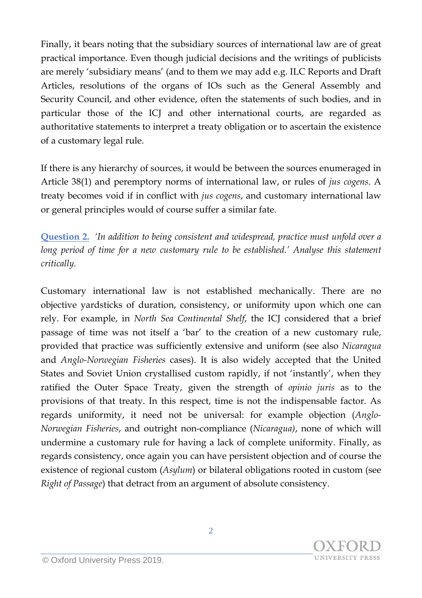Finally, it bears noting that the subsidiary sources of international law are of great practical importance. Even though judicial decisions and the writings of publicists are merely 'subsidiary means' (and to them we may add e.g. ILC Reports and Draft Articles, resolutions of the organs of IOs such as the General Assembly and Security Council, and other evidence, often the statements of such bodies, and in particular those of the ICJ and other international courts, are regarded as authoritative statements to interpret a treaty obligation or to ascertain the existence of a customary legal rule.

If there is any hierarchy of sources, it would be between the sources enumeraged in Article 38(1) and peremptory norms of international law, or rules of *jus cogens*. A treaty becomes void if in conflict with *jus cogens*, and customary international law or general principles would of course suffer a similar fate.

**Question 2.** *'In addition to being consistent and widespread, practice must unfold over a long period of time for a new customary rule to be established.' Analyse this statement critically.*

Customary international law is not established mechanically. There are no objective yardsticks of duration, consistency, or uniformity upon which one can rely. For example, in *North Sea Continental Shelf*, the ICJ considered that a brief passage of time was not itself a 'bar' to the creation of a new customary rule, provided that practice was sufficiently extensive and uniform (see also *Nicaragua* and *Anglo-Norwegian Fisheries* cases). It is also widely accepted that the United States and Soviet Union crystallised custom rapidly, if not 'instantly', when they ratified the Outer Space Treaty, given the strength of *opinio juris* as to the provisions of that treaty. In this respect, time is not the indispensable factor. As regards uniformity, it need not be universal: for example objection (*Anglo-Norwegian Fisheries*, and outright non-compliance (*Nicaragua)*, none of which will undermine a customary rule for having a lack of complete uniformity. Finally, as regards consistency, once again you can have persistent objection and of course the existence of regional custom (*Asylum*) or bilateral obligations rooted in custom (see *Right of Passage*) that detract from an argument of absolute consistency.